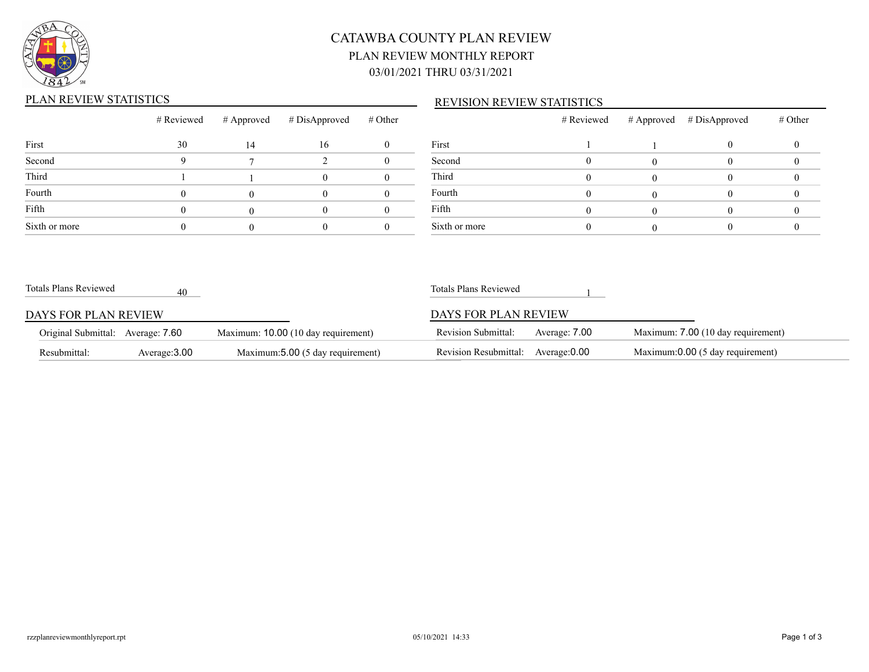

## CATAWBA COUNTY PLAN REVIEW PLAN REVIEW MONTHLY REPORT 03/01/2021 THRU 03/31/2021

### PLAN REVIEW STATISTICS

#### REVISION REVIEW STATISTICS

|               | # Reviewed |    | $#$ Approved $#$ DisApproved | # Other |         |
|---------------|------------|----|------------------------------|---------|---------|
| First         | 30         | 14 | 16                           |         | First   |
| Second        |            |    |                              |         | Second  |
| Third         |            |    |                              |         | Third   |
| Fourth        |            |    |                              |         | Fourth  |
| Fifth         |            |    |                              |         | Fifth   |
| Sixth or more |            |    |                              |         | Sixth o |

|               | # Reviewed | # Approved # DisApproved | # Other |
|---------------|------------|--------------------------|---------|
| First         |            |                          |         |
| Second        |            |                          |         |
| Third         |            |                          |         |
| Fourth        |            |                          |         |
| Fifth         |            |                          |         |
| Sixth or more |            |                          |         |

| Totals Plans Reviewed             | 40            |                                     | Totals Plans Reviewed      |               |                                    |
|-----------------------------------|---------------|-------------------------------------|----------------------------|---------------|------------------------------------|
| DAYS FOR PLAN REVIEW              |               |                                     | DAYS FOR PLAN REVIEW       |               |                                    |
| Original Submittal: Average: 7.60 |               | Maximum: 10.00 (10 day requirement) | <b>Revision Submittal:</b> | Average: 7.00 | Maximum: 7.00 (10 day requirement) |
| Resubmittal:                      | Average: 3.00 | Maximum: 5.00 (5 day requirement)   | Revision Resubmittal:      | Average: 0.00 | Maximum:0.00 (5 day requirement)   |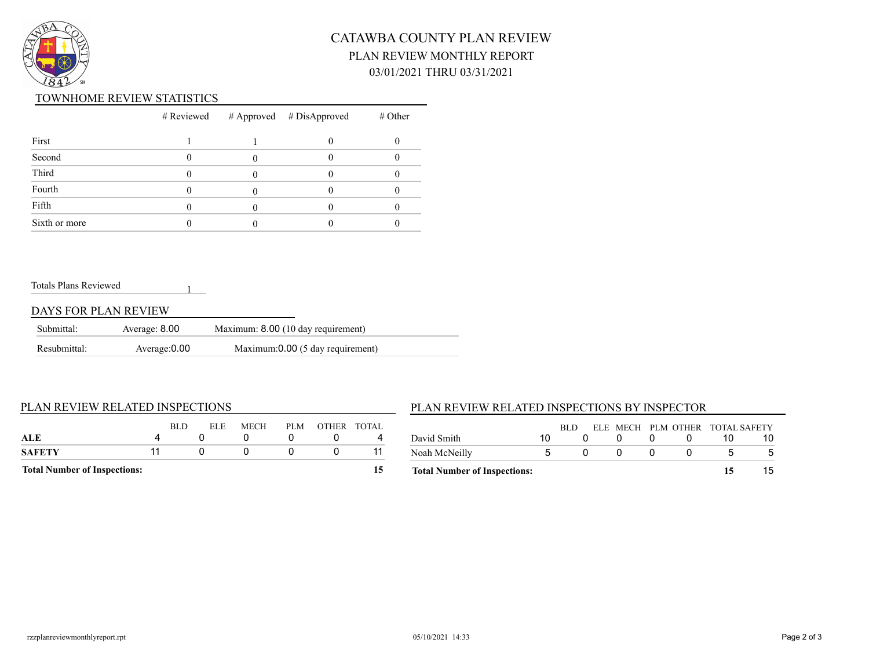

## CATAWBA COUNTY PLAN REVIEW PLAN REVIEW MONTHLY REPORT 03/01/2021 THRU 03/31/2021

#### TOWNHOME REVIEW STATISTICS

|               |  | $#$ Reviewed $#$ Approved $#$ DisApproved | $#$ Other |
|---------------|--|-------------------------------------------|-----------|
| First         |  |                                           |           |
| Second        |  |                                           |           |
| Third         |  |                                           |           |
| Fourth        |  |                                           |           |
| Fifth         |  |                                           |           |
| Sixth or more |  |                                           |           |

#### Totals Plans Reviewed

#### DAYS FOR PLAN REVIEW

| Submittal:   | Average: 8.00 | Maximum: 8.00 (10 day requirement) |
|--------------|---------------|------------------------------------|
| Resubmittal: | Average: 0.00 | Maximum:0.00 (5 day requirement)   |

1

#### PLAN REVIEW RELATED INSPECTIONS

### BLD ELE MECH PLM OTHER TOTAL **ALE** 4 0 0 0 0 4 **SAFETY** 11 0 0 0 0 11 **Total Number of Inspections: 15**

#### PLAN REVIEW RELATED INSPECTIONS BY INSPECTOR

| <b>Total Number of Inspections:</b> |    |      |  |  | 15                              |  |
|-------------------------------------|----|------|--|--|---------------------------------|--|
| Noah McNeilly                       | h  |      |  |  |                                 |  |
| David Smith                         | 10 |      |  |  |                                 |  |
|                                     |    | RLD. |  |  | ELE MECH PLM OTHER TOTAL SAFETY |  |